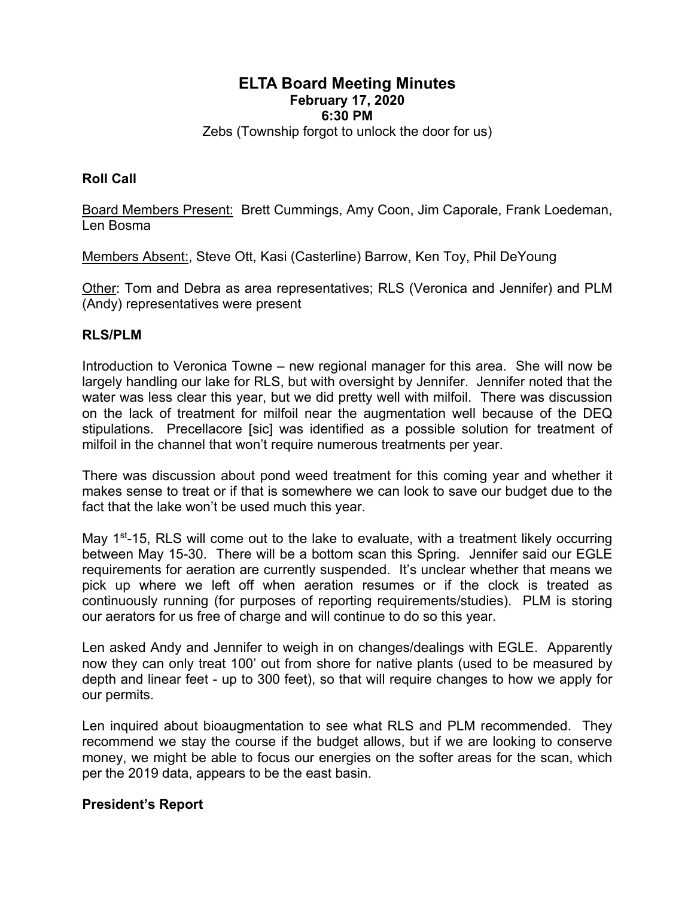# **ELTA Board Meeting Minutes February 17, 2020 6:30 PM**

Zebs (Township forgot to unlock the door for us)

# **Roll Call**

Board Members Present: Brett Cummings, Amy Coon, Jim Caporale, Frank Loedeman, Len Bosma

Members Absent:, Steve Ott, Kasi (Casterline) Barrow, Ken Toy, Phil DeYoung

Other: Tom and Debra as area representatives; RLS (Veronica and Jennifer) and PLM (Andy) representatives were present

### **RLS/PLM**

Introduction to Veronica Towne – new regional manager for this area. She will now be largely handling our lake for RLS, but with oversight by Jennifer. Jennifer noted that the water was less clear this year, but we did pretty well with milfoil. There was discussion on the lack of treatment for milfoil near the augmentation well because of the DEQ stipulations. Precellacore [sic] was identified as a possible solution for treatment of milfoil in the channel that won't require numerous treatments per year.

There was discussion about pond weed treatment for this coming year and whether it makes sense to treat or if that is somewhere we can look to save our budget due to the fact that the lake won't be used much this year.

May 1<sup>st</sup>-15, RLS will come out to the lake to evaluate, with a treatment likely occurring between May 15-30. There will be a bottom scan this Spring. Jennifer said our EGLE requirements for aeration are currently suspended. It's unclear whether that means we pick up where we left off when aeration resumes or if the clock is treated as continuously running (for purposes of reporting requirements/studies). PLM is storing our aerators for us free of charge and will continue to do so this year.

Len asked Andy and Jennifer to weigh in on changes/dealings with EGLE. Apparently now they can only treat 100' out from shore for native plants (used to be measured by depth and linear feet - up to 300 feet), so that will require changes to how we apply for our permits.

Len inquired about bioaugmentation to see what RLS and PLM recommended. They recommend we stay the course if the budget allows, but if we are looking to conserve money, we might be able to focus our energies on the softer areas for the scan, which per the 2019 data, appears to be the east basin.

#### **President's Report**